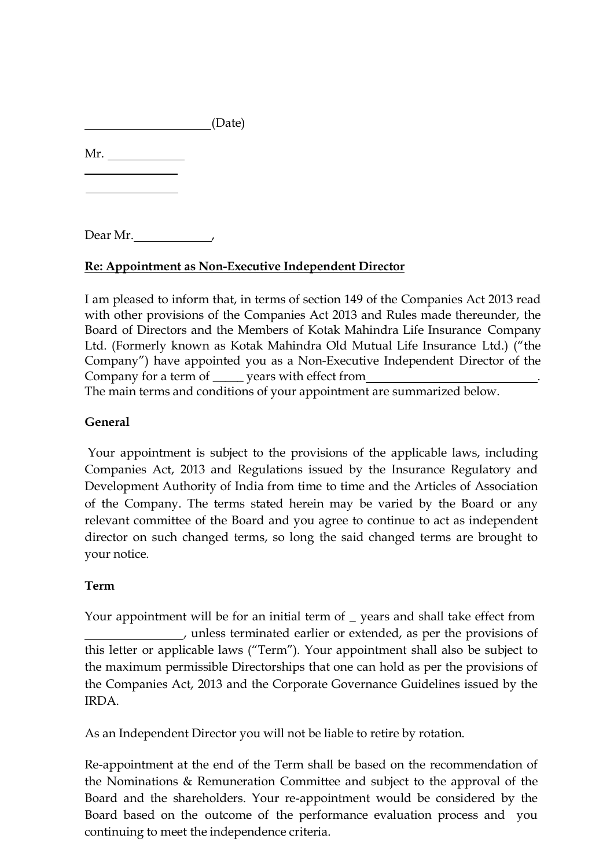Mr.

Dear Mr.

## **Re: Appointment as Non-Executive Independent Director**

I am pleased to inform that, in terms of section 149 of the Companies Act 2013 read with other provisions of the Companies Act 2013 and Rules made thereunder, the Board of Directors and the Members of Kotak Mahindra Life Insurance Company Ltd. (Formerly known as Kotak Mahindra Old Mutual Life Insurance Ltd.) ("the Company") have appointed you as a Non-Executive Independent Director of the Company for a term of \_\_\_\_\_ years with effect from .

The main terms and conditions of your appointment are summarized below.

# **General**

Your appointment is subject to the provisions of the applicable laws, including Companies Act, 2013 and Regulations issued by the Insurance Regulatory and Development Authority of India from time to time and the Articles of Association of the Company. The terms stated herein may be varied by the Board or any relevant committee of the Board and you agree to continue to act as independent director on such changed terms, so long the said changed terms are brought to your notice.

## **Term**

Your appointment will be for an initial term of \_ years and shall take effect from , unless terminated earlier or extended, as per the provisions of this letter or applicable laws ("Term"). Your appointment shall also be subject to the maximum permissible Directorships that one can hold as per the provisions of the Companies Act, 2013 and the Corporate Governance Guidelines issued by the IRDA.

As an Independent Director you will not be liable to retire by rotation.

Re-appointment at the end of the Term shall be based on the recommendation of the Nominations & Remuneration Committee and subject to the approval of the Board and the shareholders. Your re-appointment would be considered by the Board based on the outcome of the performance evaluation process and you continuing to meet the independence criteria.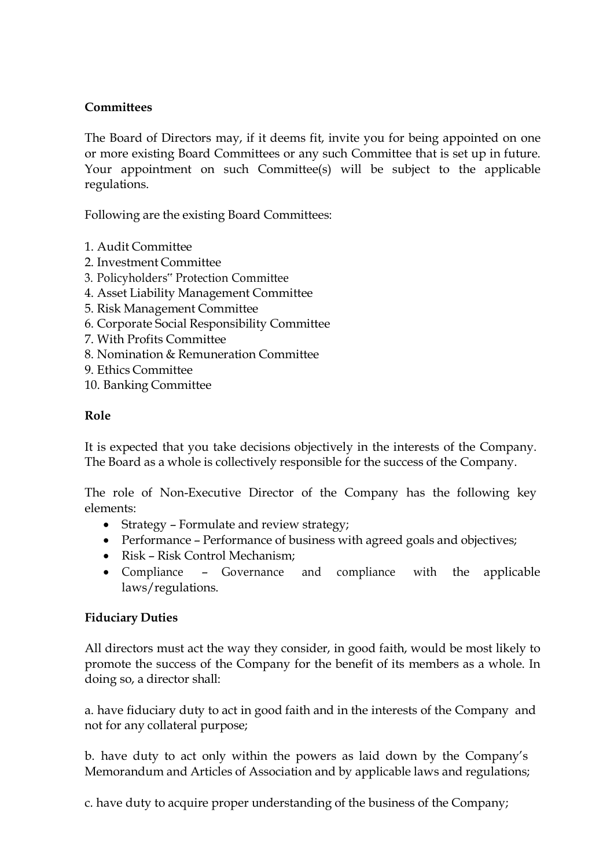# **Committees**

The Board of Directors may, if it deems fit, invite you for being appointed on one or more existing Board Committees or any such Committee that is set up in future. Your appointment on such Committee(s) will be subject to the applicable regulations.

Following are the existing Board Committees:

- 1. Audit Committee
- 2. Investment Committee
- 3. Policyholders" Protection Committee
- 4. Asset Liability Management Committee
- 5. Risk Management Committee
- 6. Corporate Social Responsibility Committee
- 7. With Profits Committee
- 8. Nomination & Remuneration Committee
- 9. Ethics Committee
- 10. Banking Committee

## **Role**

It is expected that you take decisions objectively in the interests of the Company. The Board as a whole is collectively responsible for the success of the Company.

The role of Non-Executive Director of the Company has the following key elements:

- Strategy Formulate and review strategy;
- Performance Performance of business with agreed goals and objectives;
- Risk Risk Control Mechanism;
- Compliance Governance and compliance with the applicable laws/regulations.

## **Fiduciary Duties**

All directors must act the way they consider, in good faith, would be most likely to promote the success of the Company for the benefit of its members as a whole. In doing so, a director shall:

a. have fiduciary duty to act in good faith and in the interests of the Company and not for any collateral purpose;

b. have duty to act only within the powers as laid down by the Company's Memorandum and Articles of Association and by applicable laws and regulations;

c. have duty to acquire proper understanding of the business of the Company;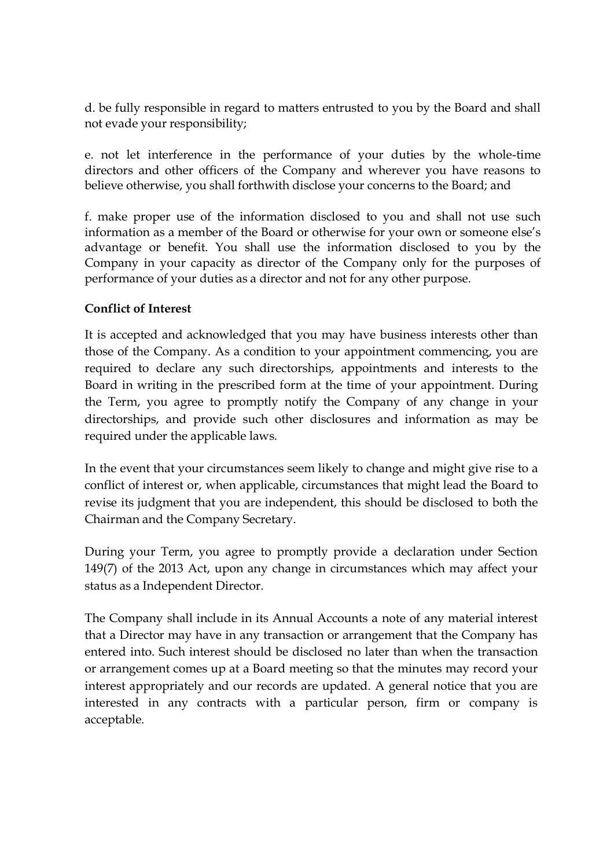d. be fully responsible in regard to matters entrusted to you by the Board and shall not evade your responsibility;

e. not let interference in the performance of your duties by the whole-time directors and other officers of the Company and wherever you have reasons to believe otherwise, you shall forthwith disclose your concerns to the Board; and

f. make proper use of the information disclosed to you and shall not use such information as a member of the Board or otherwise for your own or someone else's advantage or benefit. You shall use the information disclosed to you by the Company in your capacity as director of the Company only for the purposes of performance of your duties as a director and not for any other purpose.

## **Conflict of Interest**

It is accepted and acknowledged that you may have business interests other than those of the Company. As a condition to your appointment commencing, you are required to declare any such directorships, appointments and interests to the Board in writing in the prescribed form at the time of your appointment. During the Term, you agree to promptly notify the Company of any change in your directorships, and provide such other disclosures and information as may be required under the applicable laws.

In the event that your circumstances seem likely to change and might give rise to a conflict of interest or, when applicable, circumstances that might lead the Board to revise its judgment that you are independent, this should be disclosed to both the Chairman and the Company Secretary.

During your Term, you agree to promptly provide a declaration under Section 149(7) of the 2013 Act, upon any change in circumstances which may affect your status as a Independent Director.

The Company shall include in its Annual Accounts a note of any material interest that a Director may have in any transaction or arrangement that the Company has entered into. Such interest should be disclosed no later than when the transaction or arrangement comes up at a Board meeting so that the minutes may record your interest appropriately and our records are updated. A general notice that you are interested in any contracts with a particular person, firm or company is acceptable.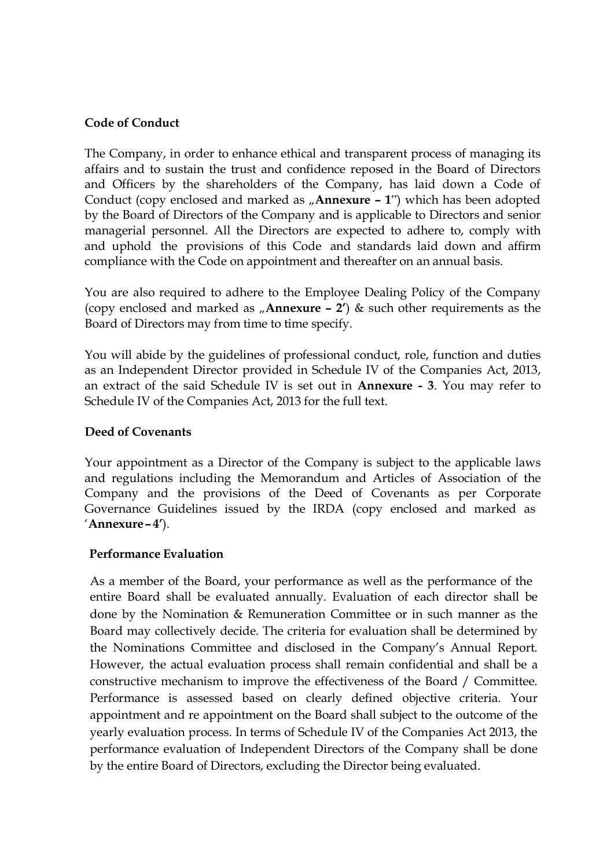#### **Code of Conduct**

The Company, in order to enhance ethical and transparent process of managing its affairs and to sustain the trust and confidence reposed in the Board of Directors and Officers by the shareholders of the Company, has laid down a Code of Conduct (copy enclosed and marked as  $\mu$ **Annexure – 1**") which has been adopted by the Board of Directors of the Company and is applicable to Directors and senior managerial personnel. All the Directors are expected to adhere to, comply with and uphold the provisions of this Code and standards laid down and affirm compliance with the Code on appointment and thereafter on an annual basis.

You are also required to adhere to the Employee Dealing Policy of the Company (copy enclosed and marked as "**Annexure – 2'**) & such other requirements as the Board of Directors may from time to time specify.

You will abide by the guidelines of professional conduct, role, function and duties as an Independent Director provided in Schedule IV of the Companies Act, 2013, an extract of the said Schedule IV is set out in **Annexure - 3**. You may refer to Schedule IV of the Companies Act, 2013 for the full text.

#### **Deed of Covenants**

Your appointment as a Director of the Company is subject to the applicable laws and regulations including the Memorandum and Articles of Association of the Company and the provisions of the Deed of Covenants as per Corporate Governance Guidelines issued by the IRDA (copy enclosed and marked as '**Annexure – 4'**).

#### **Performance Evaluation**

As a member of the Board, your performance as well as the performance of the entire Board shall be evaluated annually. Evaluation of each director shall be done by the Nomination & Remuneration Committee or in such manner as the Board may collectively decide. The criteria for evaluation shall be determined by the Nominations Committee and disclosed in the Company's Annual Report. However, the actual evaluation process shall remain confidential and shall be a constructive mechanism to improve the effectiveness of the Board / Committee. Performance is assessed based on clearly defined objective criteria. Your appointment and re appointment on the Board shall subject to the outcome of the yearly evaluation process. In terms of Schedule IV of the Companies Act 2013, the performance evaluation of Independent Directors of the Company shall be done by the entire Board of Directors, excluding the Director being evaluated.